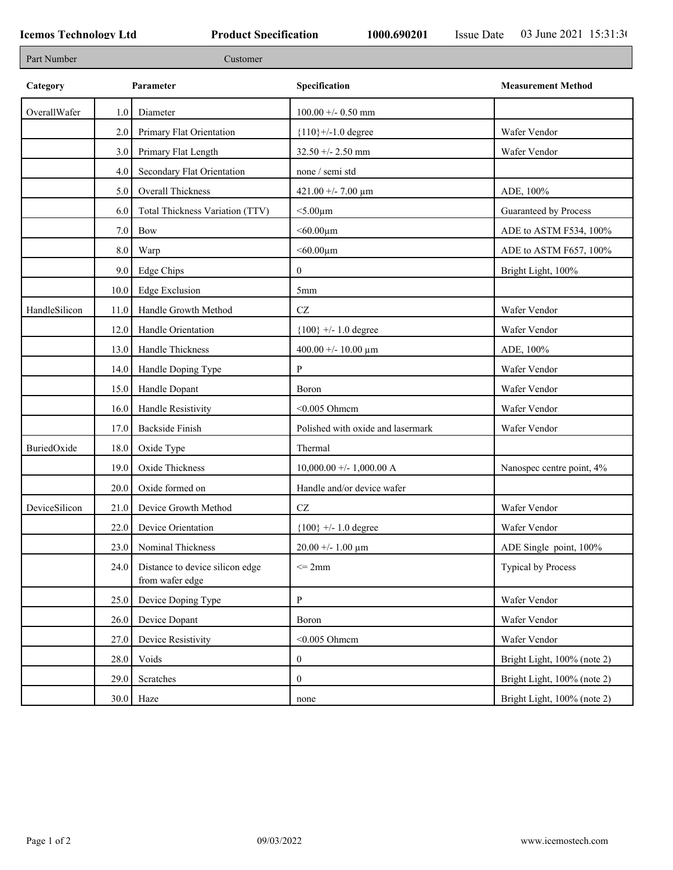| Part Number   |      | Customer                                           |                                   |                             |
|---------------|------|----------------------------------------------------|-----------------------------------|-----------------------------|
| Category      |      | Parameter                                          | Specification                     | <b>Measurement Method</b>   |
| OverallWafer  | 1.0  | Diameter                                           | $100.00 + - 0.50$ mm              |                             |
|               | 2.0  | Primary Flat Orientation                           | ${110}$ +/-1.0 degree             | Wafer Vendor                |
|               | 3.0  | Primary Flat Length                                | $32.50 + - 2.50$ mm               | Wafer Vendor                |
|               | 4.0  | Secondary Flat Orientation                         | none / semi std                   |                             |
|               | 5.0  | Overall Thickness                                  | 421.00 +/- 7.00 $\mu$ m           | ADE, 100%                   |
|               | 6.0  | Total Thickness Variation (TTV)                    | $<$ 5.00 $\mu$ m                  | Guaranteed by Process       |
|               | 7.0  | Bow                                                | $<$ 60.00 $\mu$ m                 | ADE to ASTM F534, 100%      |
|               | 8.0  | Warp                                               | $<$ 60.00 $\mu$ m                 | ADE to ASTM F657, 100%      |
|               | 9.0  | Edge Chips                                         | $\overline{0}$                    | Bright Light, 100%          |
|               | 10.0 | <b>Edge Exclusion</b>                              | 5 <sub>mm</sub>                   |                             |
| HandleSilicon | 11.0 | Handle Growth Method                               | CZ                                | Wafer Vendor                |
|               | 12.0 | Handle Orientation                                 | ${100}$ +/- 1.0 degree            | Wafer Vendor                |
|               | 13.0 | Handle Thickness                                   | 400.00 +/- 10.00 $\mu$ m          | ADE, 100%                   |
|               | 14.0 | Handle Doping Type                                 | P                                 | Wafer Vendor                |
|               | 15.0 | Handle Dopant                                      | Boron                             | Wafer Vendor                |
|               | 16.0 | Handle Resistivity                                 | $<$ 0.005 Ohmcm                   | Wafer Vendor                |
|               | 17.0 | <b>Backside Finish</b>                             | Polished with oxide and lasermark | Wafer Vendor                |
| BuriedOxide   | 18.0 | Oxide Type                                         | Thermal                           |                             |
|               | 19.0 | Oxide Thickness                                    | $10,000.00 +/- 1,000.00 A$        | Nanospec centre point, 4%   |
|               | 20.0 | Oxide formed on                                    | Handle and/or device wafer        |                             |
| DeviceSilicon | 21.0 | Device Growth Method                               | CZ                                | Wafer Vendor                |
|               | 22.0 | Device Orientation                                 | ${100}$ +/- 1.0 degree            | Wafer Vendor                |
|               | 23.0 | Nominal Thickness                                  | $20.00 + - 1.00 \mu m$            | ADE Single point, 100%      |
|               | 24.0 | Distance to device silicon edge<br>from wafer edge | $\leq$ 2mm                        | Typical by Process          |
|               | 25.0 | Device Doping Type                                 | P                                 | Wafer Vendor                |
|               | 26.0 | Device Dopant                                      | Boron                             | Wafer Vendor                |
|               | 27.0 | Device Resistivity                                 | $<$ 0.005 Ohmcm                   | Wafer Vendor                |
|               | 28.0 | Voids                                              | $\boldsymbol{0}$                  | Bright Light, 100% (note 2) |
|               | 29.0 | Scratches                                          | $\boldsymbol{0}$                  | Bright Light, 100% (note 2) |
|               |      | $30.0$ Haze                                        | none                              | Bright Light, 100% (note 2) |